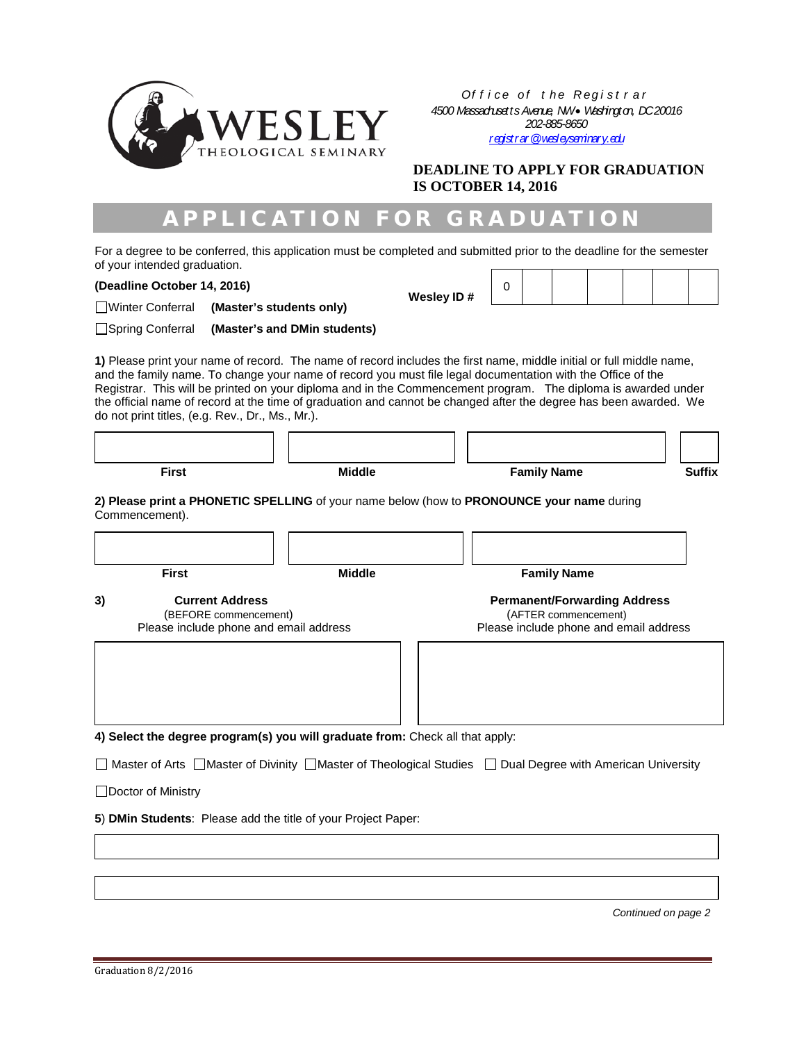

*Of f i ce of t he Regi st r ar 4500 Massachusetts Avenue, NW* • *Washington, DC 20016 202-885-8650 [registrar@wesleyseminary.edu](mailto:registrar@wesleyseminary.edu)*

**DEADLINE TO APPLY FOR GRADUATION IS OCTOBER 14, 2016**

## APPLICATION FOR GRADUATION

For a degree to be conferred, this application must be completed and submitted prior to the deadline for the semester of your intended graduation.

**(Deadline October 14, 2016)**

| Wesley ID# |  |
|------------|--|

| ey ID# |  |  |  |  |
|--------|--|--|--|--|
|        |  |  |  |  |

Winter Conferral **(Master's students only)** Spring Conferral **(Master's and DMin students)**

**1)** Please print your name of record. The name of record includes the first name, middle initial or full middle name, and the family name. To change your name of record you must file legal documentation with the Office of the Registrar. This will be printed on your diploma and in the Commencement program. The diploma is awarded under the official name of record at the time of graduation and cannot be changed after the degree has been awarded. We do not print titles, (e.g. Rev., Dr., Ms., Mr.).

| <b>Middle</b>                                   | <b>Family Name</b>                                          | <b>Suffix</b>                                                                                                                       |  |
|-------------------------------------------------|-------------------------------------------------------------|-------------------------------------------------------------------------------------------------------------------------------------|--|
|                                                 |                                                             |                                                                                                                                     |  |
|                                                 |                                                             |                                                                                                                                     |  |
| <b>Middle</b>                                   | <b>Family Name</b>                                          |                                                                                                                                     |  |
| <b>Current Address</b><br>(BEFORE commencement) | <b>Permanent/Forwarding Address</b><br>(AFTER commencement) |                                                                                                                                     |  |
|                                                 |                                                             |                                                                                                                                     |  |
|                                                 |                                                             |                                                                                                                                     |  |
|                                                 |                                                             |                                                                                                                                     |  |
|                                                 | Please include phone and email address                      | 2) Please print a PHONETIC SPELLING of your name below (how to PRONOUNCE your name during<br>Please include phone and email address |  |

**4) Select the degree program(s) you will graduate from:** Check all that apply:

□ Master of Arts □ Master of Divinity □ Master of Theological Studies □ Dual Degree with American University

□Doctor of Ministry

**5**) **DMin Students**: Please add the title of your Project Paper:

 *Continued on page 2*